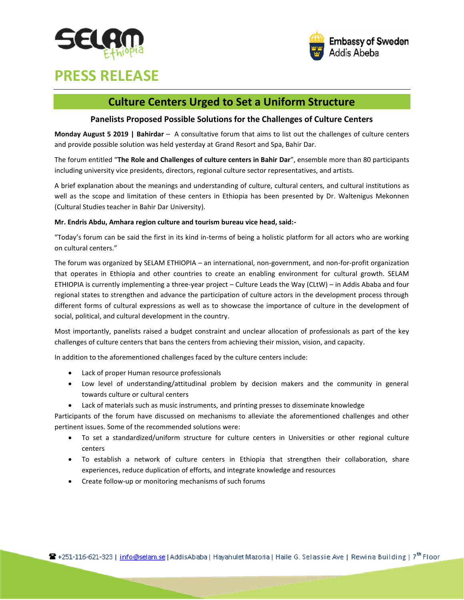



# **PRESS RELEASE**

## **Culture Centers Urged to Set a Uniform Structure**

#### **Panelists Proposed Possible Solutions for the Challenges of Culture Centers**

**Monday August 5 2019 | Bahirdar** – A consultative forum that aims to list out the challenges of culture centers and provide possible solution was held yesterday at Grand Resort and Spa, Bahir Dar.

The forum entitled "**The Role and Challenges of culture centers in Bahir Dar**", ensemble more than 80 participants including university vice presidents, directors, regional culture sector representatives, and artists.

A brief explanation about the meanings and understanding of culture, cultural centers, and cultural institutions as well as the scope and limitation of these centers in Ethiopia has been presented by Dr. Waltenigus Mekonnen (Cultural Studies teacher in Bahir Dar University).

#### **Mr. Endris Abdu, Amhara region culture and tourism bureau vice head, said:-**

"Today's forum can be said the first in its kind in-terms of being a holistic platform for all actors who are working on cultural centers."

The forum was organized by SELAM ETHIOPIA – an international, non-government, and non-for-profit organization that operates in Ethiopia and other countries to create an enabling environment for cultural growth. SELAM ETHIOPIA is currently implementing a three-year project – Culture Leads the Way (CLtW) – in Addis Ababa and four regional states to strengthen and advance the participation of culture actors in the development process through different forms of cultural expressions as well as to showcase the importance of culture in the development of social, political, and cultural development in the country.

Most importantly, panelists raised a budget constraint and unclear allocation of professionals as part of the key challenges of culture centers that bans the centers from achieving their mission, vision, and capacity.

In addition to the aforementioned challenges faced by the culture centers include:

- Lack of proper Human resource professionals
- Low level of understanding/attitudinal problem by decision makers and the community in general towards culture or cultural centers
- Lack of materials such as music instruments, and printing presses to disseminate knowledge

Participants of the forum have discussed on mechanisms to alleviate the aforementioned challenges and other pertinent issues. Some of the recommended solutions were:

- To set a standardized/uniform structure for culture centers in Universities or other regional culture centers
- To establish a network of culture centers in Ethiopia that strengthen their collaboration, share experiences, reduce duplication of efforts, and integrate knowledge and resources
- Create follow-up or monitoring mechanisms of such forums